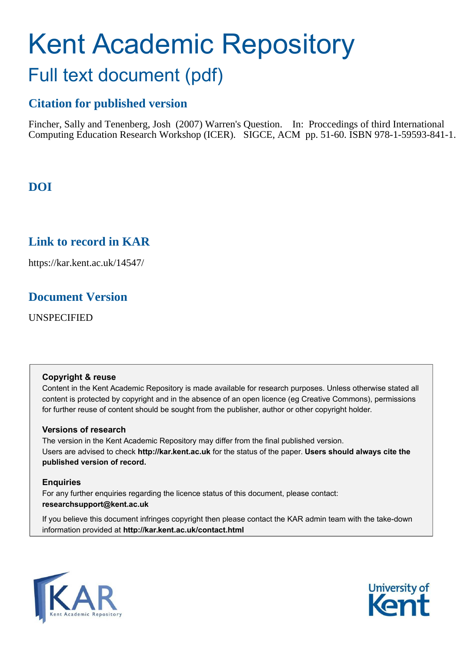# Kent Academic Repository Full text document (pdf)

# **Citation for published version**

Fincher, Sally and Tenenberg, Josh (2007) Warren's Question. In: Proccedings of third International Computing Education Research Workshop (ICER). SIGCE, ACM pp. 51-60. ISBN 978-1-59593-841-1.

# **DOI**

# **Link to record in KAR**

https://kar.kent.ac.uk/14547/

# **Document Version**

UNSPECIFIED

# **Copyright & reuse**

Content in the Kent Academic Repository is made available for research purposes. Unless otherwise stated all content is protected by copyright and in the absence of an open licence (eg Creative Commons), permissions for further reuse of content should be sought from the publisher, author or other copyright holder.

# **Versions of research**

The version in the Kent Academic Repository may differ from the final published version. Users are advised to check **http://kar.kent.ac.uk** for the status of the paper. **Users should always cite the published version of record.**

# **Enquiries**

For any further enquiries regarding the licence status of this document, please contact: **researchsupport@kent.ac.uk**

If you believe this document infringes copyright then please contact the KAR admin team with the take-down information provided at **http://kar.kent.ac.uk/contact.html**



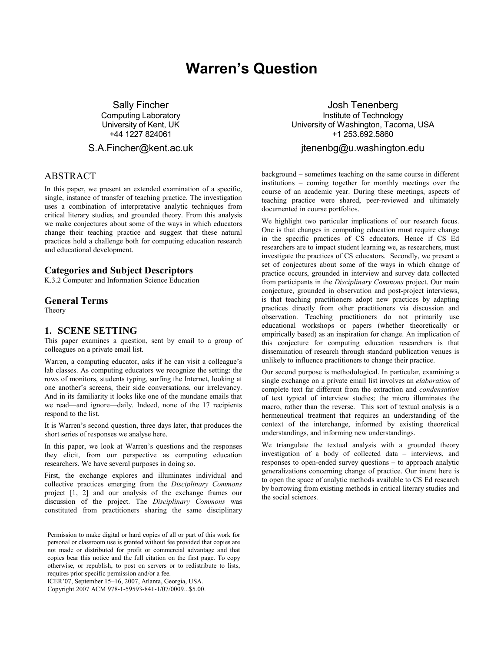# **Warren's Question**

**Sally Fincher Computing Laboratory** University of Kent, UK +44 1227 824061

#### S.A.Fincher@kent.ac.uk

# **ABSTRACT**

In this paper, we present an extended examination of a specific, single, instance of transfer of teaching practice. The investigation uses a combination of interpretative analytic techniques from critical literary studies, and grounded theory. From this analysis we make conjectures about some of the ways in which educators change their teaching practice and suggest that these natural practices hold a challenge both for computing education research and educational development.

#### **Categories and Subject Descriptors**

K.3.2 Computer and Information Science Education

#### **General Terms**

Theory

#### 1. SCENE SETTING

This paper examines a question, sent by email to a group of colleagues on a private email list.

Warren, a computing educator, asks if he can visit a colleague's lab classes. As computing educators we recognize the setting: the rows of monitors, students typing, surfing the Internet, looking at one another's screens, their side conversations, our irrelevancy. And in its familiarity it looks like one of the mundane emails that we read—and ignore—daily. Indeed, none of the 17 recipients respond to the list.

It is Warren's second question, three days later, that produces the short series of responses we analyse here.

In this paper, we look at Warren's questions and the responses they elicit, from our perspective as computing education researchers. We have several purposes in doing so.

First, the exchange explores and illuminates individual and collective practices emerging from the Disciplinary Commons project [1, 2] and our analysis of the exchange frames our discussion of the project. The Disciplinary Commons was constituted from practitioners sharing the same disciplinary

Permission to make digital or hard copies of all or part of this work for personal or classroom use is granted without fee provided that copies are not made or distributed for profit or commercial advantage and that copies bear this notice and the full citation on the first page. To copy otherwise, or republish, to post on servers or to redistribute to lists, requires prior specific permission and/or a fee.

ICER'07, September 15-16, 2007, Atlanta, Georgia, USA.

Copyright 2007 ACM 978-1-59593-841-1/07/0009...\$5.00.

Josh Tenenberg Institute of Technology University of Washington, Tacoma, USA +1 253.692.5860

#### jtenenbg@u washington edu

background – sometimes teaching on the same course in different institutions – coming together for monthly meetings over the course of an academic year. During these meetings, aspects of teaching practice were shared, peer-reviewed and ultimately documented in course portfolios.

We highlight two particular implications of our research focus. One is that changes in computing education must require change in the specific practices of CS educators. Hence if CS Ed researchers are to impact student learning we, as researchers, must investigate the practices of CS educators. Secondly, we present a set of conjectures about some of the ways in which change of practice occurs, grounded in interview and survey data collected from participants in the Disciplinary Commons project. Our main conjecture, grounded in observation and post-project interviews, is that teaching practitioners adopt new practices by adapting practices directly from other practitioners via discussion and observation. Teaching practitioners do not primarily use educational workshops or papers (whether theoretically or empirically based) as an inspiration for change. An implication of this conjecture for computing education researchers is that dissemination of research through standard publication venues is unlikely to influence practitioners to change their practice.

Our second purpose is methodological. In particular, examining a single exchange on a private email list involves an elaboration of complete text far different from the extraction and condensation of text typical of interview studies; the micro illuminates the macro, rather than the reverse. This sort of textual analysis is a hermeneutical treatment that requires an understanding of the context of the interchange, informed by existing theoretical understandings, and informing new understandings.

We triangulate the textual analysis with a grounded theory investigation of a body of collected data - interviews, and responses to open-ended survey questions - to approach analytic generalizations concerning change of practice. Our intent here is to open the space of analytic methods available to CS Ed research by borrowing from existing methods in critical literary studies and the social sciences.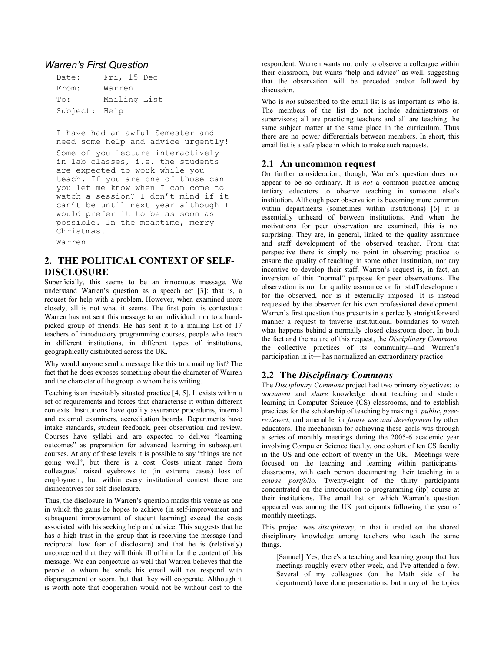#### **Warren's First Question**

| Date:         | Fri, 15 Dec  |  |  |
|---------------|--------------|--|--|
| From:         | Warren       |  |  |
| To:           | Mailing List |  |  |
| Subject: Help |              |  |  |

I have had an awful Semester and need some help and advice urgently! Some of you lecture interactively in lab classes, i.e. the students are expected to work while you teach. If you are one of those can you let me know when I can come to watch a session? I don't mind if it can't be until next year although I would prefer it to be as soon as possible. In the meantime, merry Christmas.

Warren

# 2. THE POLITICAL CONTEXT OF SELF-**DISCLOSURE**

Superficially, this seems to be an innocuous message. We understand Warren's question as a speech act [3]: that is, a request for help with a problem. However, when examined more closely, all is not what it seems. The first point is contextual: Warren has not sent this message to an individual, nor to a handpicked group of friends. He has sent it to a mailing list of 17 teachers of introductory programming courses, people who teach in different institutions, in different types of institutions, geographically distributed across the UK.

Why would anyone send a message like this to a mailing list? The fact that he does exposes something about the character of Warren and the character of the group to whom he is writing.

Teaching is an inevitably situated practice [4, 5]. It exists within a set of requirements and forces that characterise it within different contexts. Institutions have quality assurance procedures, internal and external examiners, accreditation boards. Departments have intake standards, student feedback, peer observation and review. Courses have syllabi and are expected to deliver "learning outcomes" as preparation for advanced learning in subsequent courses. At any of these levels it is possible to say "things are not going well", but there is a cost. Costs might range from colleagues' raised eyebrows to (in extreme cases) loss of employment, but within every institutional context there are disincentives for self-disclosure.

Thus, the disclosure in Warren's question marks this venue as one in which the gains he hopes to achieve (in self-improvement and subsequent improvement of student learning) exceed the costs associated with his seeking help and advice. This suggests that he has a high trust in the group that is receiving the message (and reciprocal low fear of disclosure) and that he is (relatively) unconcerned that they will think ill of him for the content of this message. We can conjecture as well that Warren believes that the people to whom he sends his email will not respond with disparagement or scorn, but that they will cooperate. Although it is worth note that cooperation would not be without cost to the

respondent: Warren wants not only to observe a colleague within their classroom, but wants "help and advice" as well, suggesting that the observation will be preceded and/or followed by discussion

Who is *not* subscribed to the email list is as important as who is. The members of the list do not include administrators or supervisors; all are practicing teachers and all are teaching the same subject matter at the same place in the curriculum. Thus there are no power differentials between members. In short, this email list is a safe place in which to make such requests.

# 2.1 An uncommon request

On further consideration, though, Warren's question does not appear to be so ordinary. It is *not* a common practice among tertiary educators to observe teaching in someone else's institution. Although peer observation is becoming more common within departments (sometimes within institutions) [6] it is essentially unheard of between institutions. And when the motivations for peer observation are examined, this is not surprising. They are, in general, linked to the quality assurance and staff development of the observed teacher. From that perspective there is simply no point in observing practice to ensure the quality of teaching in some other institution, nor any incentive to develop their staff. Warren's request is, in fact, an inversion of this "normal" purpose for peer observations. The observation is not for quality assurance or for staff development for the observed, nor is it externally imposed. It is instead requested by the observer for his own professional development. Warren's first question thus presents in a perfectly straightforward manner a request to traverse institutional boundaries to watch what happens behind a normally closed classroom door. In both the fact and the nature of this request, the Disciplinary Commons, the collective practices of its community—and Warren's participation in it— has normalized an extraordinary practice.

# 2.2 The Disciplinary Commons

The Disciplinary Commons project had two primary objectives: to document and share knowledge about teaching and student learning in Computer Science (CS) classrooms, and to establish practices for the scholarship of teaching by making it *public*, *peer*reviewed, and amenable for future use and development by other educators. The mechanism for achieving these goals was through a series of monthly meetings during the 2005-6 academic year involving Computer Science faculty, one cohort of ten CS faculty in the US and one cohort of twenty in the UK. Meetings were focused on the teaching and learning within participants' classrooms, with each person documenting their teaching in a course portfolio. Twenty-eight of the thirty participants concentrated on the introduction to programming (itp) course at their institutions. The email list on which Warren's question appeared was among the UK participants following the year of monthly meetings.

This project was *disciplinary*, in that it traded on the shared disciplinary knowledge among teachers who teach the same things.

[Samuel] Yes, there's a teaching and learning group that has meetings roughly every other week, and I've attended a few. Several of my colleagues (on the Math side of the department) have done presentations, but many of the topics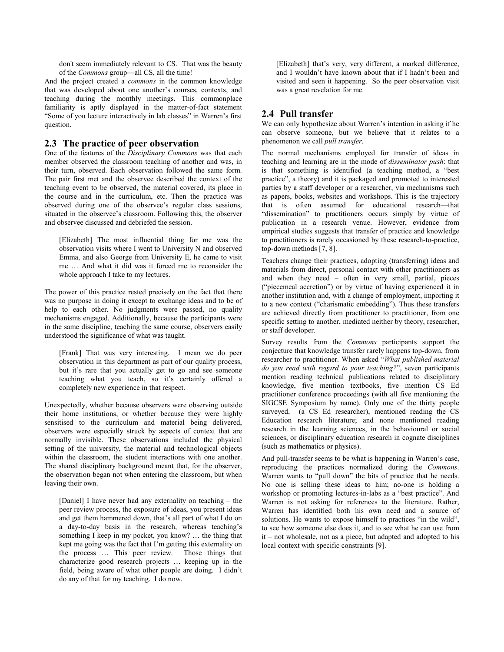don't seem immediately relevant to CS. That was the beauty of the *Commons* group—all CS, all the time!

And the project created a *commons* in the common knowledge that was developed about one another's courses, contexts, and teaching during the monthly meetings. This commonplace familiarity is aptly displayed in the matter-of-fact statement "Some of you lecture interactively in lab classes" in Warren's first question.

#### 2.3 The practice of peer observation

One of the features of the Disciplinary Commons was that each member observed the classroom teaching of another and was, in their turn, observed. Each observation followed the same form. The pair first met and the observee described the context of the teaching event to be observed, the material covered, its place in the course and in the curriculum, etc. Then the practice was observed during one of the observee's regular class sessions, situated in the observee's classroom. Following this, the observer and observee discussed and debriefed the session.

[Elizabeth] The most influential thing for me was the observation visits where I went to University N and observed Emma, and also George from University E, he came to visit me ... And what it did was it forced me to reconsider the whole approach I take to my lectures.

The power of this practice rested precisely on the fact that there was no purpose in doing it except to exchange ideas and to be of help to each other. No judgments were passed, no quality mechanisms engaged. Additionally, because the participants were in the same discipline, teaching the same course, observers easily understood the significance of what was taught.

[Frank] That was very interesting. I mean we do peer observation in this department as part of our quality process, but it's rare that you actually get to go and see someone teaching what you teach, so it's certainly offered a completely new experience in that respect.

Unexpectedly, whether because observers were observing outside their home institutions, or whether because they were highly sensitised to the curriculum and material being delivered, observers were especially struck by aspects of context that are normally invisible. These observations included the physical setting of the university, the material and technological objects within the classroom, the student interactions with one another. The shared disciplinary background meant that, for the observer, the observation began not when entering the classroom, but when leaving their own.

[Daniel] I have never had any externality on teaching – the peer review process, the exposure of ideas, you present ideas and get them hammered down, that's all part of what I do on a day-to-day basis in the research, whereas teaching's something I keep in my pocket, you know? ... the thing that kept me going was the fact that I'm getting this externality on the process ... This peer review. Those things that characterize good research projects ... keeping up in the field, being aware of what other people are doing. I didn't do any of that for my teaching. I do now.

[Elizabeth] that's very, very different, a marked difference, and I wouldn't have known about that if I hadn't been and visited and seen it happening. So the peer observation visit was a great revelation for me.

# 2.4 Pull transfer

We can only hypothesize about Warren's intention in asking if he can observe someone, but we believe that it relates to a phenomenon we call pull transfer.

The normal mechanisms employed for transfer of ideas in teaching and learning are in the mode of disseminator push: that is that something is identified (a teaching method, a "best practice", a theory) and it is packaged and promoted to interested parties by a staff developer or a researcher, via mechanisms such as papers, books, websites and workshops. This is the trajectory that is often assumed for educational research---that "dissemination" to practitioners occurs simply by virtue of publication in a research venue. However, evidence from empirical studies suggests that transfer of practice and knowledge to practitioners is rarely occasioned by these research-to-practice, top-down methods  $[7, 8]$ .

Teachers change their practices, adopting (transferring) ideas and materials from direct, personal contact with other practitioners as and when they need  $-$  often in very small, partial, pieces ("piecemeal accretion") or by virtue of having experienced it in another institution and, with a change of employment, importing it to a new context ("charismatic embedding"). Thus these transfers are achieved directly from practitioner to practitioner, from one specific setting to another, mediated neither by theory, researcher, or staff developer.

Survey results from the Commons participants support the conjecture that knowledge transfer rarely happens top-down, from researcher to practitioner. When asked "What published material do vou read with regard to your teaching?", seven participants mention reading technical publications related to disciplinary knowledge, five mention textbooks, five mention CS Ed practitioner conference proceedings (with all five mentioning the SIGCSE Symposium by name). Only one of the thirty people surveyed, (a CS Ed researcher), mentioned reading the CS Education research literature; and none mentioned reading research in the learning sciences, in the behavioural or social sciences, or disciplinary education research in cognate disciplines (such as mathematics or physics).

And pull-transfer seems to be what is happening in Warren's case, reproducing the practices normalized during the Commons. Warren wants to "pull down" the bits of practice that he needs. No one is selling these ideas to him; no-one is holding a workshop or promoting lectures-in-labs as a "best practice". And Warren is not asking for references to the literature. Rather, Warren has identified both his own need and a source of solutions. He wants to expose himself to practices "in the wild", to see how someone else does it, and to see what he can use from  $it$  – not wholesale, not as a piece, but adapted and adopted to his local context with specific constraints [9].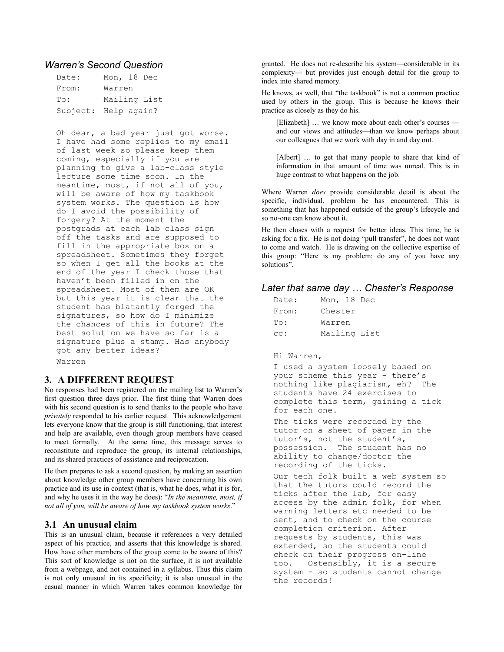#### **Warren's Second Question**

| Date:                | Mon, 18 Dec  |  |
|----------------------|--------------|--|
| From:                | Warren       |  |
| To:                  | Mailing List |  |
| Subject: Help again? |              |  |

Oh dear, a bad year just got worse. I have had some replies to my email of last week so please keep them coming, especially if you are planning to give a lab-class style lecture some time soon. In the meantime, most, if not all of you, will be aware of how my taskbook system works. The question is how do I avoid the possibility of forgery? At the moment the postgrads at each lab class sign off the tasks and are supposed to fill in the appropriate box on a spreadsheet. Sometimes they forget so when I get all the books at the end of the year I check those that haven't been filled in on the spreadsheet. Most of them are OK but this year it is clear that the student has blatantly forged the signatures, so how do I minimize the chances of this in future? The best solution we have so far is a signature plus a stamp. Has anybody got any better ideas? Warren

# 3. A DIFFERENT REOUEST

No responses had been registered on the mailing list to Warren's first question three days prior. The first thing that Warren does with his second question is to send thanks to the people who have privately responded to his earlier request. This acknowledgement lets everyone know that the group is still functioning, that interest and help are available, even though group members have ceased to meet formally. At the same time, this message serves to reconstitute and reproduce the group, its internal relationships, and its shared practices of assistance and reciprocation.

He then prepares to ask a second question, by making an assertion about knowledge other group members have concerning his own practice and its use in context (that is, what he does, what it is for, and why he uses it in the way he does): "In the meantime, most, if not all of you, will be aware of how my taskbook system works."

#### 3.1 An unusual claim

This is an unusual claim, because it references a very detailed aspect of his practice, and asserts that this knowledge is shared. How have other members of the group come to be aware of this? This sort of knowledge is not on the surface, it is not available from a webpage, and not contained in a syllabus. Thus this claim is not only unusual in its specificity; it is also unusual in the casual manner in which Warren takes common knowledge for

granted. He does not re-describe his system-considerable in its complexity— but provides just enough detail for the group to index into shared memory.

He knows, as well, that "the taskbook" is not a common practice used by others in the group. This is because he knows their practice as closely as they do his.

[Elizabeth] ... we know more about each other's courses and our views and attitudes—than we know perhaps about our colleagues that we work with day in and day out.

[Albert] ... to get that many people to share that kind of information in that amount of time was unreal. This is in huge contrast to what happens on the job.

Where Warren does provide considerable detail is about the specific, individual, problem he has encountered. This is something that has happened outside of the group's lifecycle and so no-one can know about it.

He then closes with a request for better ideas. This time, he is asking for a fix. He is not doing "pull transfer", he does not want to come and watch. He is drawing on the collective expertise of this group: "Here is my problem: do any of you have any solutions".

#### Later that same day ... Chester's Response

| Date: | Mon, 18 Dec  |  |  |
|-------|--------------|--|--|
| From: | Chester      |  |  |
| To:   | Warren       |  |  |
| cc:   | Mailing List |  |  |

#### Hi Warren,

I used a system loosely based on your scheme this year - there's nothing like plagiarism, eh? The students have 24 exercises to complete this term, gaining a tick for each one.

The ticks were recorded by the tutor on a sheet of paper in the tutor's, not the student's, possession. The student has no ability to change/doctor the recording of the ticks.

Our tech folk built a web system so that the tutors could record the ticks after the lab, for easy access by the admin folk, for when warning letters etc needed to be sent, and to check on the course completion criterion. After requests by students, this was extended, so the students could check on their progress on-line too. Ostensibly, it is a secure system - so students cannot change the records!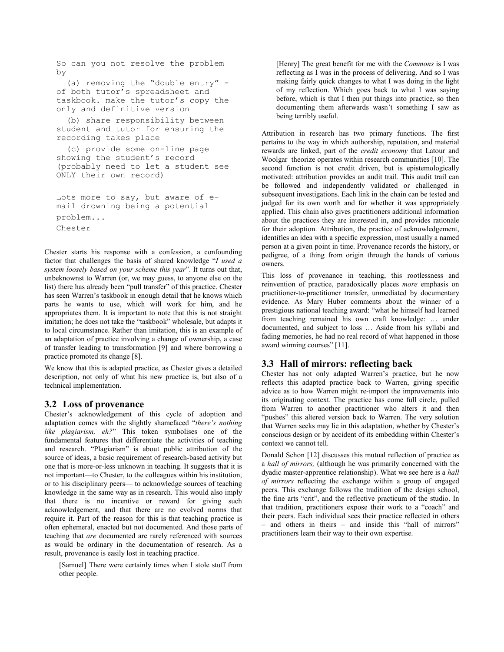```
So can you not resolve the problem
by(a) removing the "double entry" -
of both tutor's spreadsheet and
taskbook. make the tutor's copy the
only and definitive version
  (b) share responsibility between
student and tutor for ensuring the
recording takes place
  (c) provide some on-line page
showing the student's record
(probably need to let a student see
ONLY their own record)
Lots more to say, but aware of e-
mail drowning being a potential
problem...
```
Chester

Chester starts his response with a confession, a confounding factor that challenges the basis of shared knowledge "I used a system loosely based on your scheme this year". It turns out that, unbeknownst to Warren (or, we may guess, to anyone else on the list) there has already been "pull transfer" of this practice. Chester has seen Warren's taskbook in enough detail that he knows which parts he wants to use, which will work for him, and he appropriates them. It is important to note that this is not straight imitation; he does not take the "taskbook" wholesale, but adapts it to local circumstance. Rather than imitation, this is an example of an adaptation of practice involving a change of ownership, a case of transfer leading to transformation [9] and where borrowing a practice promoted its change [8].

We know that this is adapted practice, as Chester gives a detailed description, not only of what his new practice is, but also of a technical implementation.

#### 3.2 Loss of provenance

Chester's acknowledgement of this cycle of adoption and adaptation comes with the slightly shamefaced "there's nothing like plagiarism, eh?" This token symbolises one of the fundamental features that differentiate the activities of teaching and research. "Plagiarism" is about public attribution of the source of ideas, a basic requirement of research-based activity but one that is more-or-less unknown in teaching. It suggests that it is not important—to Chester, to the colleagues within his institution, or to his disciplinary peers— to acknowledge sources of teaching knowledge in the same way as in research. This would also imply that there is no incentive or reward for giving such acknowledgement, and that there are no evolved norms that require it. Part of the reason for this is that teaching practice is often ephemeral, enacted but not documented. And those parts of teaching that *are* documented are rarely referenced with sources as would be ordinary in the documentation of research. As a result, provenance is easily lost in teaching practice.

[Samuel] There were certainly times when I stole stuff from other people.

[Henry] The great benefit for me with the *Commons* is I was reflecting as I was in the process of delivering. And so I was making fairly quick changes to what I was doing in the light of my reflection. Which goes back to what I was saying before, which is that I then put things into practice, so then documenting them afterwards wasn't something I saw as being terribly useful.

Attribution in research has two primary functions. The first pertains to the way in which authorship, reputation, and material rewards are linked, part of the *credit economy* that Latour and Woolgar theorize operates within research communities [10]. The second function is not credit driven, but is epistemologically motivated: attribution provides an audit trail. This audit trail can be followed and independently validated or challenged in subsequent investigations. Each link in the chain can be tested and judged for its own worth and for whether it was appropriately applied. This chain also gives practitioners additional information about the practices they are interested in, and provides rationale for their adoption. Attribution, the practice of acknowledgement, identifies an idea with a specific expression, most usually a named person at a given point in time. Provenance records the history, or pedigree, of a thing from origin through the hands of various owners

This loss of provenance in teaching, this rootlessness and reinvention of practice, paradoxically places more emphasis on practitioner-to-practitioner transfer, unmediated by documentary evidence. As Mary Huber comments about the winner of a prestigious national teaching award: "what he himself had learned from teaching remained his own craft knowledge: ... under documented, and subject to loss ... Aside from his syllabi and fading memories, he had no real record of what happened in those award winning courses" [11].

# 3.3 Hall of mirrors: reflecting back

Chester has not only adapted Warren's practice, but he now reflects this adapted practice back to Warren, giving specific advice as to how Warren might re-import the improvements into its originating context. The practice has come full circle, pulled from Warren to another practitioner who alters it and then "pushes" this altered version back to Warren. The very solution that Warren seeks may lie in this adaptation, whether by Chester's conscious design or by accident of its embedding within Chester's context we cannot tell.

Donald Schon [12] discusses this mutual reflection of practice as a hall of mirrors, (although he was primarily concerned with the dyadic master-apprentice relationship). What we see here is a hall of mirrors reflecting the exchange within a group of engaged peers. This exchange follows the tradition of the design school, the fine arts "crit", and the reflective practicum of the studio. In that tradition, practitioners expose their work to a "coach" and their peers. Each individual sees their practice reflected in others - and others in theirs - and inside this "hall of mirrors" practitioners learn their way to their own expertise.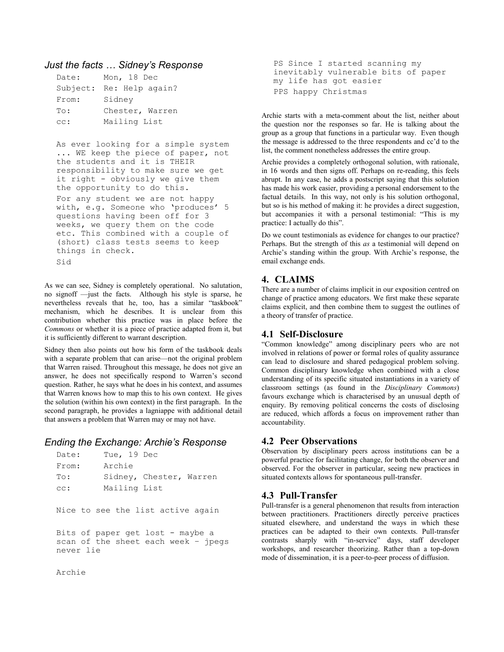#### Just the facts ... Sidney's Response

| Date: | Mon, 18 Dec              |
|-------|--------------------------|
|       | Subject: Re: Help again? |
| From: | Sidney                   |
| To:   | Chester, Warren          |
| cc:   | Mailing List             |

As ever looking for a simple system ... WE keep the piece of paper, not the students and it is THEIR responsibility to make sure we get it right - obviously we give them the opportunity to do this.

For any student we are not happy with, e.g. Someone who 'produces' 5 questions having been off for 3 weeks, we query them on the code etc. This combined with a couple of (short) class tests seems to keep things in check. Sid

As we can see, Sidney is completely operational. No salutation, no signoff -just the facts. Although his style is sparse, he nevertheless reveals that he, too, has a similar "taskbook" mechanism, which he describes. It is unclear from this contribution whether this practice was in place before the Commons or whether it is a piece of practice adapted from it, but it is sufficiently different to warrant description.

Sidney then also points out how his form of the taskbook deals with a separate problem that can arise—not the original problem that Warren raised. Throughout this message, he does not give an answer, he does not specifically respond to Warren's second question. Rather, he says what he does in his context, and assumes that Warren knows how to map this to his own context. He gives the solution (within his own context) in the first paragraph. In the second paragraph, he provides a lagniappe with additional detail that answers a problem that Warren may or may not have.

# Ending the Exchange: Archie's Response

| Date:     | Tue, 19 Dec  |                                     |
|-----------|--------------|-------------------------------------|
| From:     | Archie       |                                     |
| To:       |              | Sidney, Chester, Warren             |
| cc:       | Mailing List |                                     |
|           |              |                                     |
|           |              | Nice to see the list active again   |
|           |              |                                     |
|           |              | Bits of paper get lost - maybe a    |
|           |              | scan of the sheet each week - jpegs |
| never lie |              |                                     |
|           |              |                                     |
| Archie    |              |                                     |

PS Since I started scanning my inevitably vulnerable bits of paper my life has got easier PPS happy Christmas

Archie starts with a meta-comment about the list, neither about the question nor the responses so far. He is talking about the group as a group that functions in a particular way. Even though the message is addressed to the three respondents and cc'd to the list, the comment nonetheless addresses the entire group.

Archie provides a completely orthogonal solution, with rationale, in 16 words and then signs off. Perhaps on re-reading, this feels abrupt. In any case, he adds a postscript saying that this solution has made his work easier, providing a personal endorsement to the factual details. In this way, not only is his solution orthogonal, but so is his method of making it: he provides a direct suggestion, but accompanies it with a personal testimonial: "This is my practice: I actually do this".

Do we count testimonials as evidence for changes to our practice? Perhaps. But the strength of this as a testimonial will depend on Archie's standing within the group. With Archie's response, the email exchange ends.

# 4. CLAIMS

There are a number of claims implicit in our exposition centred on change of practice among educators. We first make these separate claims explicit, and then combine them to suggest the outlines of a theory of transfer of practice.

# 4.1 Self-Disclosure

"Common knowledge" among disciplinary peers who are not involved in relations of power or formal roles of quality assurance can lead to disclosure and shared pedagogical problem solving. Common disciplinary knowledge when combined with a close understanding of its specific situated instantiations in a variety of classroom settings (as found in the Disciplinary Commons) favours exchange which is characterised by an unusual depth of enquiry. By removing political concerns the costs of disclosing are reduced, which affords a focus on improvement rather than accountability.

# **4.2 Peer Observations**

Observation by disciplinary peers across institutions can be a powerful practice for facilitating change, for both the observer and observed. For the observer in particular, seeing new practices in situated contexts allows for spontaneous pull-transfer.

# 4.3 Pull-Transfer

Pull-transfer is a general phenomenon that results from interaction between practitioners. Practitioners directly perceive practices situated elsewhere, and understand the ways in which these practices can be adapted to their own contexts. Pull-transfer contrasts sharply with "in-service" days, staff developer workshops, and researcher theorizing. Rather than a top-down mode of dissemination, it is a peer-to-peer process of diffusion.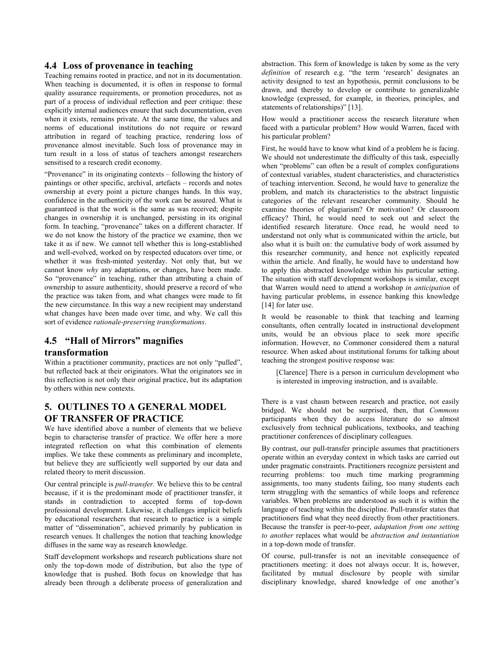#### 4.4 Loss of provenance in teaching

Teaching remains rooted in practice, and not in its documentation. When teaching is documented, it is often in response to formal quality assurance requirements, or promotion procedures, not as part of a process of individual reflection and peer critique: these explicitly internal audiences ensure that such documentation, even when it exists, remains private. At the same time, the values and norms of educational institutions do not require or reward attribution in regard of teaching practice, rendering loss of provenance almost inevitable. Such loss of provenance may in turn result in a loss of status of teachers amongst researchers sensitised to a research credit economy.

"Provenance" in its originating contexts – following the history of paintings or other specific, archival, artefacts – records and notes ownership at every point a picture changes hands. In this way, confidence in the authenticity of the work can be assured. What is guaranteed is that the work is the same as was received; despite changes in ownership it is unchanged, persisting in its original form. In teaching, "provenance" takes on a different character. If we do not know the history of the practice we examine, then we take it as if new. We cannot tell whether this is long-established and well-evolved, worked on by respected educators over time, or whether it was fresh-minted yesterday. Not only that, but we cannot know why any adaptations, or changes, have been made. So "provenance" in teaching, rather than attributing a chain of ownership to assure authenticity, should preserve a record of who the practice was taken from, and what changes were made to fit the new circumstance. In this way a new recipient may understand what changes have been made over time, and why. We call this sort of evidence rationale-preserving transformations.

# 4.5 "Hall of Mirrors" magnifies

#### transformation

Within a practitioner community, practices are not only "pulled", but reflected back at their originators. What the originators see in this reflection is not only their original practice, but its adaptation by others within new contexts.

# 5. OUTLINES TO A GENERAL MODEL OF TRANSFER OF PRACTICE

We have identified above a number of elements that we believe begin to characterise transfer of practice. We offer here a more integrated reflection on what this combination of elements implies. We take these comments as preliminary and incomplete. but believe they are sufficiently well supported by our data and related theory to merit discussion.

Our central principle is *pull-transfer*. We believe this to be central because, if it is the predominant mode of practitioner transfer, it stands in contradiction to accepted forms of top-down professional development. Likewise, it challenges implicit beliefs by educational researchers that research to practice is a simple matter of "dissemination", achieved primarily by publication in research venues. It challenges the notion that teaching knowledge diffuses in the same way as research knowledge.

Staff development workshops and research publications share not only the top-down mode of distribution, but also the type of knowledge that is pushed. Both focus on knowledge that has already been through a deliberate process of generalization and

abstraction. This form of knowledge is taken by some as the very definition of research e.g. "the term 'research' designates an activity designed to test an hypothesis, permit conclusions to be drawn, and thereby to develop or contribute to generalizable knowledge (expressed, for example, in theories, principles, and statements of relationships)" [13].

How would a practitioner access the research literature when faced with a particular problem? How would Warren, faced with his particular problem?

First, he would have to know what kind of a problem he is facing. We should not underestimate the difficulty of this task, especially when "problems" can often be a result of complex configurations of contextual variables, student characteristics, and characteristics of teaching intervention. Second, he would have to generalize the problem, and match its characteristics to the abstract linguistic categories of the relevant researcher community. Should he examine theories of plagiarism? Or motivation? Or classroom efficacy? Third, he would need to seek out and select the identified research literature. Once read, he would need to understand not only what is communicated within the article, but also what it is built on: the cumulative body of work assumed by this researcher community, and hence not explicitly repeated within the article. And finally, he would have to understand how to apply this abstracted knowledge within his particular setting. The situation with staff development workshops is similar, except that Warren would need to attend a workshop in anticipation of having particular problems, in essence banking this knowledge [14] for later use.

It would be reasonable to think that teaching and learning consultants, often centrally located in instructional development units, would be an obvious place to seek more specific information. However, no Commoner considered them a natural resource. When asked about institutional forums for talking about teaching the strongest positive response was:

[Clarence] There is a person in curriculum development who is interested in improving instruction, and is available.

There is a vast chasm between research and practice, not easily bridged. We should not be surprised, then, that Commons participants when they do access literature do so almost exclusively from technical publications, textbooks, and teaching practitioner conferences of disciplinary colleagues.

By contrast, our pull-transfer principle assumes that practitioners operate within an everyday context in which tasks are carried out under pragmatic constraints. Practitioners recognize persistent and recurring problems: too much time marking programming assignments, too many students failing, too many students each term struggling with the semantics of while loops and reference variables. When problems are understood as such it is within the language of teaching within the discipline. Pull-transfer states that practitioners find what they need directly from other practitioners. Because the transfer is peer-to-peer, *adaptation from one setting* to another replaces what would be abstraction and instantiation in a top-down mode of transfer.

Of course, pull-transfer is not an inevitable consequence of practitioners meeting: it does not always occur. It is, however, facilitated by mutual disclosure by people with similar disciplinary knowledge, shared knowledge of one another's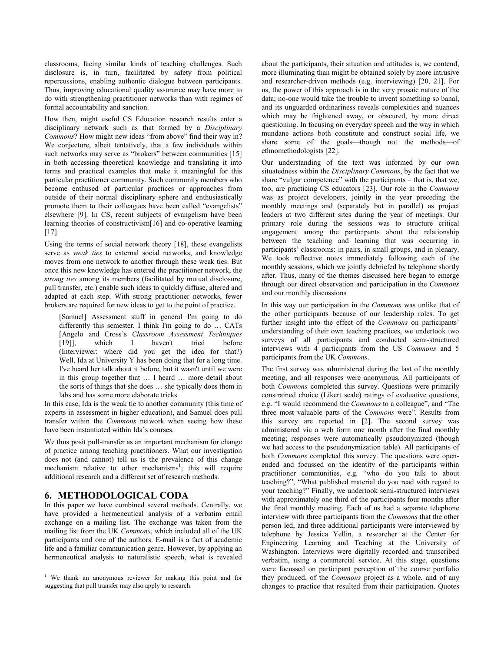classrooms, facing similar kinds of teaching challenges. Such disclosure is, in turn, facilitated by safety from political repercussions, enabling authentic dialogue between participants. Thus, improving educational quality assurance may have more to do with strengthening practitioner networks than with regimes of formal accountability and sanction.

How then, might useful CS Education research results enter a disciplinary network such as that formed by a Disciplinary Commons? How might new ideas "from above" find their way in? We conjecture, albeit tentatively, that a few individuals within such networks may serve as "brokers" between communities [15] in both accessing theoretical knowledge and translating it into terms and practical examples that make it meaningful for this particular practitioner community. Such community members who become enthused of particular practices or approaches from outside of their normal disciplinary sphere and enthusiastically promote them to their colleagues have been called "evangelists" elsewhere [9]. In CS, recent subjects of evangelism have been learning theories of constructivism[16] and co-operative learning  $[17]$ .

Using the terms of social network theory [18], these evangelists serve as *weak ties* to external social networks, and knowledge moves from one network to another through these weak ties. But once this new knowledge has entered the practitioner network, the strong ties among its members (facilitated by mutual disclosure, pull transfer, etc.) enable such ideas to quickly diffuse, altered and adapted at each step. With strong practitioner networks, fewer brokers are required for new ideas to get to the point of practice.

[Samuel] Assessment stuff in general I'm going to do differently this semester. I think I'm going to do ... CATs [Angelo and Cross's Classroom Assessment Techniques  $[19]$ ], which  $\mathbf I$ haven't tried before (Interviewer: where did you get the idea for that?) Well, Ida at University Y has been doing that for a long time. I've heard her talk about it before, but it wasn't until we were in this group together that ... I heard ... more detail about the sorts of things that she does ... she typically does them in labs and has some more elaborate tricks

In this case, Ida is the weak tie to another community (this time of experts in assessment in higher education), and Samuel does pull transfer within the Commons network when seeing how these have been instantiated within Ida's courses.

We thus posit pull-transfer as an important mechanism for change of practice among teaching practitioners. What our investigation does not (and cannot) tell us is the prevalence of this change mechanism relative to other mechanisms<sup>1</sup>; this will require additional research and a different set of research methods.

# **6. METHODOLOGICAL CODA**

In this paper we have combined several methods. Centrally, we have provided a hermeneutical analysis of a verbatim email exchange on a mailing list. The exchange was taken from the mailing list from the UK Commons, which included all of the UK participants and one of the authors. E-mail is a fact of academic life and a familiar communication genre. However, by applying an hermeneutical analysis to naturalistic speech, what is revealed about the participants, their situation and attitudes is, we contend, more illuminating than might be obtained solely by more intrusive and researcher-driven methods (e.g. interviewing) [20, 21]. For us, the power of this approach is in the very prosaic nature of the data; no-one would take the trouble to invent something so banal, and its unguarded ordinariness reveals complexities and nuances which may be frightened away, or obscured, by more direct questioning. In focusing on everyday speech and the way in which mundane actions both constitute and construct social life, we share some of the goals—though not the methods—of ethnomethodologists [22].

Our understanding of the text was informed by our own situatedness within the Disciplinary Commons, by the fact that we share "vulgar competence" with the participants – that is, that we, too, are practicing CS educators [23]. Our role in the Commons was as project developers, jointly in the year preceding the monthly meetings and (separately but in parallel) as project leaders at two different sites during the year of meetings. Our primary role during the sessions was to structure critical engagement among the participants about the relationship between the teaching and learning that was occurring in participants' classrooms: in pairs, in small groups, and in plenary. We took reflective notes immediately following each of the monthly sessions, which we jointly debriefed by telephone shortly after. Thus, many of the themes discussed here began to emerge through our direct observation and participation in the Commons and our monthly discussions.

In this way our participation in the *Commons* was unlike that of the other participants because of our leadership roles. To get further insight into the effect of the *Commons* on participants' understanding of their own teaching practices, we undertook two surveys of all participants and conducted semi-structured interviews with  $\overline{4}$  participants from the US Commons and 5 participants from the UK Commons.

The first survey was administered during the last of the monthly meeting, and all responses were anonymous. All participants of both Commons completed this survey. Questions were primarily constrained choice (Likert scale) ratings of evaluative questions, e.g. "I would recommend the Commons to a colleague", and "The three most valuable parts of the Commons were". Results from this survey are reported in [2]. The second survey was administered via a web form one month after the final monthly meeting; responses were automatically pseudonymized (though we had access to the pseudonymization table). All participants of both *Commons* completed this survey. The questions were openended and focussed on the identity of the participants within practitioner communities, e.g. "who do you talk to about teaching?", "What published material do you read with regard to your teaching?" Finally, we undertook semi-structured interviews with approximately one third of the participants four months after the final monthly meeting. Each of us had a separate telephone interview with three participants from the Commons that the other person led, and three additional participants were interviewed by telephone by Jessica Yellin, a researcher at the Center for Engineering Learning and Teaching at the University of Washington. Interviews were digitally recorded and transcribed verbatim, using a commercial service. At this stage, questions were focussed on participant perception of the course portfolio they produced, of the Commons project as a whole, and of any changes to practice that resulted from their participation. Quotes

<sup>&</sup>lt;sup>1</sup> We thank an anonymous reviewer for making this point and for suggesting that pull transfer may also apply to research.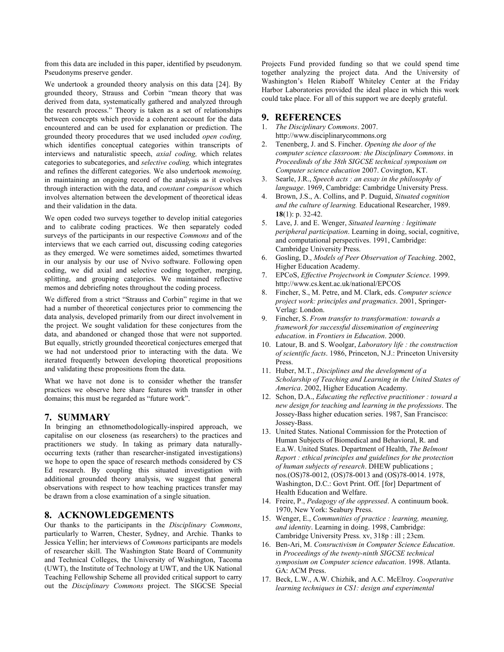from this data are included in this paper, identified by pseudonym. Pseudonyms preserve gender.

We undertook a grounded theory analysis on this data [24]. By grounded theory, Strauss and Corbin "mean theory that was derived from data, systematically gathered and analyzed through the research process." Theory is taken as a set of relationships between concepts which provide a coherent account for the data encountered and can be used for explanation or prediction. The grounded theory procedures that we used included open coding, which identifies conceptual categories within transcripts of interviews and naturalistic speech, axial coding, which relates categories to subcategories, and *selective coding*, which integrates and refines the different categories. We also undertook memoing, in maintaining an ongoing record of the analysis as it evolves through interaction with the data, and constant comparison which involves alternation between the development of theoretical ideas and their validation in the data.

We open coded two surveys together to develop initial categories and to calibrate coding practices. We then separately coded surveys of the participants in our respective Commons and of the interviews that we each carried out, discussing coding categories as they emerged. We were sometimes aided, sometimes thwarted in our analysis by our use of Nvivo software. Following open coding, we did axial and selective coding together, merging, splitting, and grouping categories. We maintained reflective memos and debriefing notes throughout the coding process.

We differed from a strict "Strauss and Corbin" regime in that we had a number of theoretical conjectures prior to commencing the data analysis, developed primarily from our direct involvement in the project. We sought validation for these conjectures from the data, and abandoned or changed those that were not supported. But equally, strictly grounded theoretical conjectures emerged that we had not understood prior to interacting with the data. We iterated frequently between developing theoretical propositions and validating these propositions from the data.

What we have not done is to consider whether the transfer practices we observe here share features with transfer in other domains; this must be regarded as "future work".

#### 7. SUMMARY

In bringing an ethnomethodologically-inspired approach, we capitalise on our closeness (as researchers) to the practices and practitioners we study. In taking as primary data naturallyoccurring texts (rather than researcher-instigated investigations) we hope to open the space of research methods considered by CS Ed research. By coupling this situated investigation with additional grounded theory analysis, we suggest that general observations with respect to how teaching practices transfer may be drawn from a close examination of a single situation.

#### 8. ACKNOWLEDGEMENTS

Our thanks to the participants in the Disciplinary Commons, particularly to Warren, Chester, Sydney, and Archie. Thanks to Jessica Yellin; her interviews of Commons participants are models of researcher skill. The Washington State Board of Community and Technical Colleges, the University of Washington, Tacoma (UWT), the Institute of Technology at UWT, and the UK National Teaching Fellowship Scheme all provided critical support to carry out the Disciplinary Commons project. The SIGCSE Special

Projects Fund provided funding so that we could spend time together analyzing the project data. And the University of Washington's Helen Riaboff Whiteley Center at the Friday Harbor Laboratories provided the ideal place in which this work could take place. For all of this support we are deeply grateful.

# 9. REFERENCES

- 1. The Disciplinary Commons. 2007. http://www.disciplinarycommons.org
- 2. Tenenberg, J. and S. Fincher. Opening the door of the computer science classroom: the Disciplinary Commons. in Proceedinds of the 38th SIGCSE technical symposium on Computer science education 2007. Covington, KT.
- 3. Searle, J.R., Speech acts : an essay in the philosophy of language. 1969. Cambridge: Cambridge University Press.
- 4. Brown, J.S., A. Collins, and P. Duguid, Situated cognition and the culture of learning. Educational Researcher, 1989. 18(1): p. 32-42.
- 5. Lave, J. and E. Wenger, Situated learning : legitimate peripheral participation. Learning in doing, social, cognitive, and computational perspectives. 1991, Cambridge: Cambridge University Press.
- 6. Gosling, D., Models of Peer Observation of Teaching. 2002, Higher Education Academy.
- 7. EPCoS, Effective Projectwork in Computer Science. 1999. http://www.cs.kent.ac.uk/national/EPCOS
- 8. Fincher, S., M. Petre, and M. Clark, eds. Computer science project work: principles and pragmatics. 2001, Springer-Verlag: London.
- 9. Fincher, S. From transfer to transformation: towards a framework for successful dissemination of engineering education. in Frontiers in Education. 2000.
- 10. Latour, B. and S. Woolgar, Laboratory life : the construction of scientific facts. 1986, Princeton, N.J.: Princeton University Press.
- 11. Huber, M.T., Disciplines and the development of a Scholarship of Teaching and Learning in the United States of America. 2002, Higher Education Academy.
- 12. Schon, D.A., Educating the reflective practitioner : toward a new design for teaching and learning in the professions. The Jossey-Bass higher education series. 1987, San Francisco: Jossey-Bass.
- 13. United States. National Commission for the Protection of Human Subjects of Biomedical and Behavioral, R. and E.a.W. United States. Department of Health, The Belmont Report : ethical principles and guidelines for the protection of human subjects of research. DHEW publications; nos.(OS)78-0012, (OS)78-0013 and (OS)78-0014. 1978, Washington, D.C.: Govt Print. Off. [for] Department of Health Education and Welfare.
- 14. Freire, P., Pedagogy of the oppressed. A continuum book. 1970, New York: Seabury Press.
- 15. Wenger, E., Communities of practice : learning, meaning, and identity. Learning in doing. 1998, Cambridge: Cambridge University Press. xv, 318p : ill ; 23cm.
- 16. Ben-Ari, M. Consructivism in Computer Science Education. in Proceedings of the twenty-ninth SIGCSE technical symposium on Computer science education. 1998. Atlanta. GA: ACM Press.
- 17. Beck, L.W., A.W. Chizhik, and A.C. McElroy. Cooperative learning techniques in CS1: design and experimental